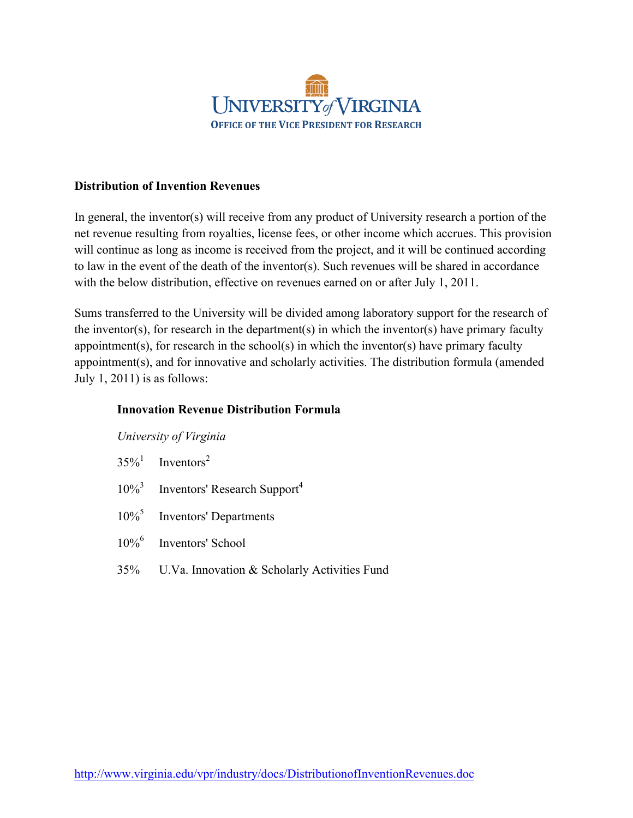

## **Distribution of Invention Revenues**

In general, the inventor(s) will receive from any product of University research a portion of the net revenue resulting from royalties, license fees, or other income which accrues. This provision will continue as long as income is received from the project, and it will be continued according to law in the event of the death of the inventor(s). Such revenues will be shared in accordance with the below distribution, effective on revenues earned on or after July 1, 2011.

Sums transferred to the University will be divided among laboratory support for the research of the inventor(s), for research in the department(s) in which the inventor(s) have primary faculty appointment(s), for research in the school(s) in which the inventor(s) have primary faculty appointment(s), and for innovative and scholarly activities. The distribution formula (amended July 1, 2011) is as follows:

## **Innovation Revenue Distribution Formula**

*University of Virginia*

- $35\%$ <sup>1</sup> Inventors<sup>2</sup>
- 10%<sup>3</sup> Inventors' Research Support4
- 10%<sup>5</sup> Inventors' Departments
- 10%<sup>6</sup> Inventors' School
- 35% U.Va. Innovation & Scholarly Activities Fund